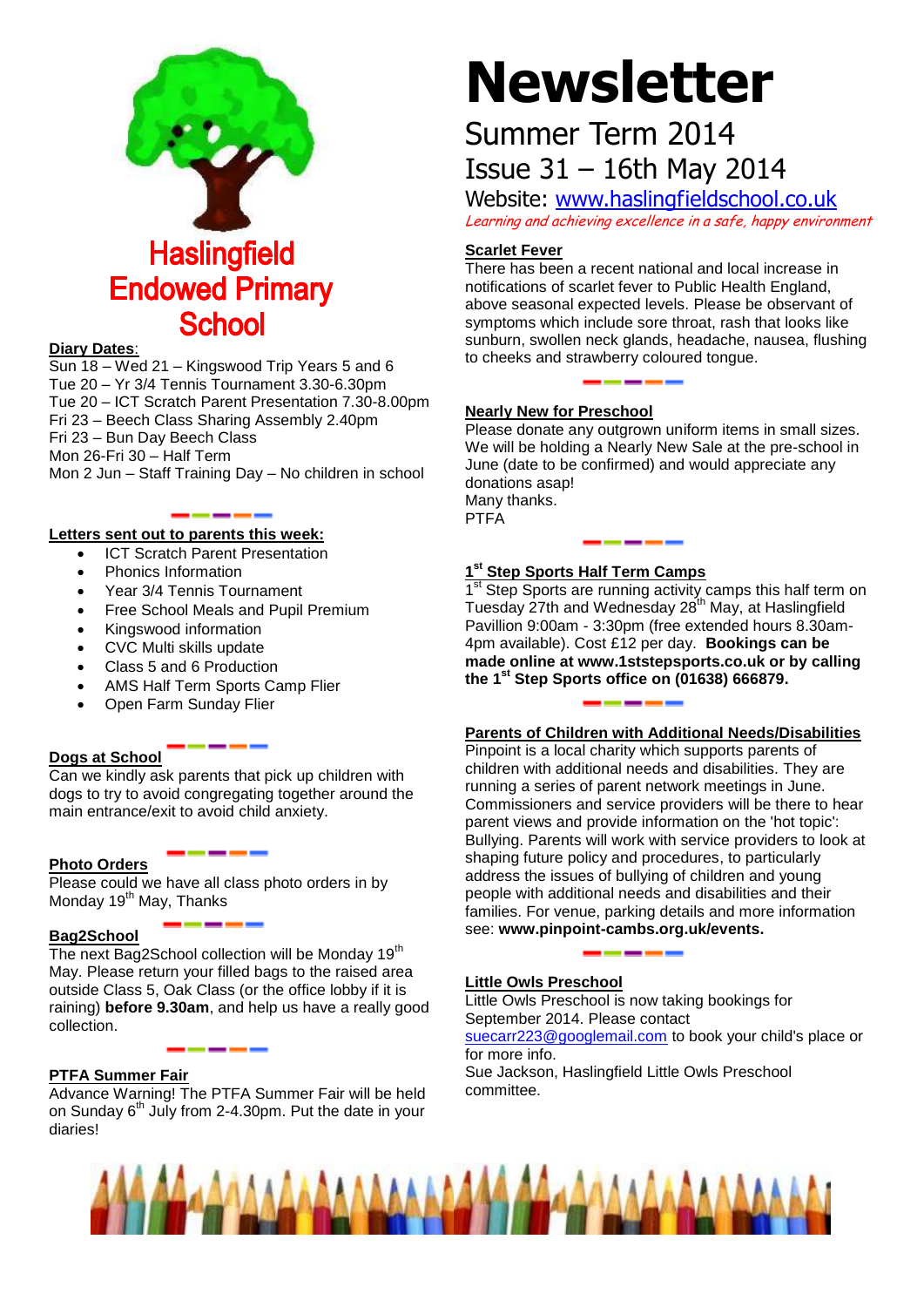

## **Diary Dates**:

Sun 18 – Wed 21 – Kingswood Trip Years 5 and 6 Tue 20 – Yr 3/4 Tennis Tournament 3.30-6.30pm Tue 20 – ICT Scratch Parent Presentation 7.30-8.00pm Fri 23 – Beech Class Sharing Assembly 2.40pm Fri 23 – Bun Day Beech Class Mon 26-Fri 30 – Half Term Mon 2 Jun – Staff Training Day – No children in school

## **Letters sent out to parents this week:**

- ICT Scratch Parent Presentation
- Phonics Information
- Year 3/4 Tennis Tournament
- Free School Meals and Pupil Premium
- Kingswood information
- CVC Multi skills update
- Class 5 and 6 Production
- AMS Half Term Sports Camp Flier
- Open Farm Sunday Flier

## **Dogs at School**

Can we kindly ask parents that pick up children with dogs to try to avoid congregating together around the main entrance/exit to avoid child anxiety.

## **Photo Orders**

Please could we have all class photo orders in by Monday 19<sup>th</sup> May, Thanks

## **Bag2School**

The next Bag2School collection will be Monday 19<sup>th</sup> May. Please return your filled bags to the raised area outside Class 5, Oak Class (or the office lobby if it is raining) **before 9.30am**, and help us have a really good collection.

## **PTFA Summer Fair**

Advance Warning! The PTFA Summer Fair will be held on Sunday  $6<sup>th</sup>$  July from 2-4.30pm. Put the date in your diaries!

# **Newsletter**

## Summer Term 2014 Issue 31 – 16th May 2014

Website: [www.haslingfieldschool.co.uk](http://www.haslingfieldschool.co.uk/) Learning and achieving excellence in a safe, happy environment

## **Scarlet Fever**

There has been a recent national and local increase in notifications of scarlet fever to Public Health England, above seasonal expected levels. Please be observant of symptoms which include sore throat, rash that looks like sunburn, swollen neck glands, headache, nausea, flushing to cheeks and strawberry coloured tongue.

## **Nearly New for Preschool**

Please donate any outgrown uniform items in small sizes. We will be holding a Nearly New Sale at the pre-school in June (date to be confirmed) and would appreciate any donations asap! Many thanks. PTFA

## **1 st Step Sports Half Term Camps**

1<sup>st</sup> Step Sports are running activity camps this half term on Tuesday 27th and Wednesday 28<sup>th</sup> May, at Haslingfield Pavillion 9:00am - 3:30pm (free extended hours 8.30am-4pm available). Cost £12 per day. **Bookings can be made online at www.1ststepsports.co.uk or by calling the 1st Step Sports office on (01638) 666879.**

## **Parents of Children with Additional Needs/Disabilities**

Pinpoint is a local charity which supports parents of children with additional needs and disabilities. They are running a series of parent network meetings in June. Commissioners and service providers will be there to hear parent views and provide information on the 'hot topic': Bullying. Parents will work with service providers to look at shaping future policy and procedures, to particularly address the issues of bullying of children and young people with additional needs and disabilities and their families. For venue, parking details and more information see: **www.pinpoint-cambs.org.uk/events.**

## **Little Owls Preschool**

Little Owls Preschool is now taking bookings for September 2014. Please contact [suecarr223@googlemail.com](mailto:suecarr223@googlemail.com) to book your child's place or for more info. Sue Jackson, Haslingfield Little Owls Preschool committee.